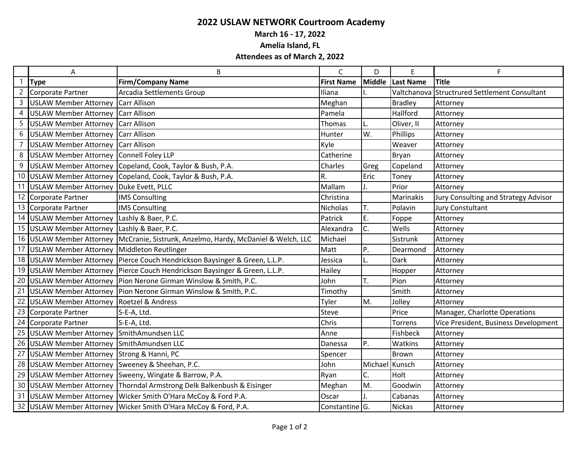## **2022 USLAW NETWORK Courtroom Academy**

**March 16 - 17, 2022**

**Amelia Island, FL**

## **Attendees as of March 2, 2022**

|    | Α                                             | B                                                                                  | $\mathsf{C}$               | D             | E                | F.                                   |
|----|-----------------------------------------------|------------------------------------------------------------------------------------|----------------------------|---------------|------------------|--------------------------------------|
|    | <b>Type</b>                                   | <b>Firm/Company Name</b>                                                           | <b>First Name</b>          | <b>Middle</b> | <b>Last Name</b> | <b>Title</b>                         |
|    | Corporate Partner                             | Arcadia Settlements Group                                                          | Iliana                     |               | Valtchanova      | Structrured Settlement Consultant    |
|    | USLAW Member Attorney Carr Allison            |                                                                                    | Meghan                     |               | <b>Bradley</b>   | Attorney                             |
|    | USLAW Member Attorney Carr Allison            |                                                                                    | Pamela                     |               | Hallford         | Attorney                             |
|    | USLAW Member Attorney Carr Allison            |                                                                                    | Thomas                     | L.            | Oliver, II       | Attorney                             |
| 6  | USLAW Member Attorney Carr Allison            |                                                                                    | Hunter                     | W.            | Phillips         | Attorney                             |
|    | <b>USLAW Member Attorney Carr Allison</b>     |                                                                                    | Kyle                       |               | Weaver           | Attorney                             |
| 8  | USLAW Member Attorney Connell Foley LLP       |                                                                                    | Catherine                  |               | Bryan            | Attorney                             |
| 9  |                                               | USLAW Member Attorney Copeland, Cook, Taylor & Bush, P.A.                          | Charles                    | Greg          | Copeland         | Attorney                             |
|    |                                               | 10 USLAW Member Attorney Copeland, Cook, Taylor & Bush, P.A.                       | R.                         | Eric          | Toney            | Attorney                             |
| 11 | USLAW Member Attorney Duke Evett, PLLC        |                                                                                    | Mallam                     | J.            | Prior            | Attorney                             |
| 12 | Corporate Partner                             | <b>IMS Consulting</b>                                                              | Christina                  |               | Marinakis        | Jury Consulting and Strategy Advisor |
|    | 13 Corporate Partner                          | <b>IMS Consulting</b>                                                              | <b>Nicholas</b>            | T.            | Polavin          | <b>Jury Constultant</b>              |
|    | 14 USLAW Member Attorney Lashly & Baer, P.C.  |                                                                                    | Patrick                    | E.            | Foppe            | Attorney                             |
|    | 15 USLAW Member Attorney Lashly & Baer, P.C.  |                                                                                    | Alexandra                  | C.            | Wells            | Attorney                             |
|    |                                               | 16 USLAW Member Attorney McCranie, Sistrunk, Anzelmo, Hardy, McDaniel & Welch, LLC | Michael                    |               | Sistrunk         | Attorney                             |
|    | 17 USLAW Member Attorney Middleton Reutlinger |                                                                                    | Matt                       | P.            | Dearmond         | Attorney                             |
|    |                                               | 18 USLAW Member Attorney Pierce Couch Hendrickson Baysinger & Green, L.L.P.        | Jessica                    | L.            | Dark             | Attorney                             |
|    |                                               | 19 USLAW Member Attorney Pierce Couch Hendrickson Baysinger & Green, L.L.P.        | Hailey                     |               | Hopper           | Attorney                             |
| 20 |                                               | USLAW Member Attorney Pion Nerone Girman Winslow & Smith, P.C.                     | John                       | ١т.           | Pion             | Attorney                             |
| 21 |                                               | USLAW Member Attorney   Pion Nerone Girman Winslow & Smith, P.C.                   | Timothy                    |               | Smith            | Attorney                             |
| 22 | USLAW Member Attorney Roetzel & Andress       |                                                                                    | Tyler                      | M.            | Jolley           | Attorney                             |
| 23 | Corporate Partner                             | S-E-A, Ltd.                                                                        | Steve                      |               | Price            | Manager, Charlotte Operations        |
| 24 | Corporate Partner                             | S-E-A, Ltd.                                                                        | Chris                      |               | Torrens          | Vice President, Business Development |
|    | 25 USLAW Member Attorney SmithAmundsen LLC    |                                                                                    | Anne                       |               | Fishbeck         | Attorney                             |
|    | 26 USLAW Member Attorney SmithAmundsen LLC    |                                                                                    | Danessa                    | P.            | Watkins          | Attorney                             |
| 27 | USLAW Member Attorney Strong & Hanni, PC      |                                                                                    | Spencer                    |               | Brown            | Attorney                             |
| 28 | USLAW Member Attorney Sweeney & Sheehan, P.C. |                                                                                    | John                       | Michael       | Kunsch           | Attorney                             |
| 29 |                                               | USLAW Member Attorney Sweeny, Wingate & Barrow, P.A.                               | Ryan                       | C.            | Holt             | Attorney                             |
| 30 |                                               | USLAW Member Attorney Thorndal Armstrong Delk Balkenbush & Eisinger                | Meghan                     | M.            | Goodwin          | Attorney                             |
| 31 |                                               | USLAW Member Attorney Wicker Smith O'Hara McCoy & Ford P.A.                        | Oscar                      |               | Cabanas          | Attorney                             |
|    |                                               | 32 USLAW Member Attorney   Wicker Smith O'Hara McCoy & Ford, P.A.                  | Constantine <sup>IG.</sup> |               | <b>Nickas</b>    | Attorney                             |